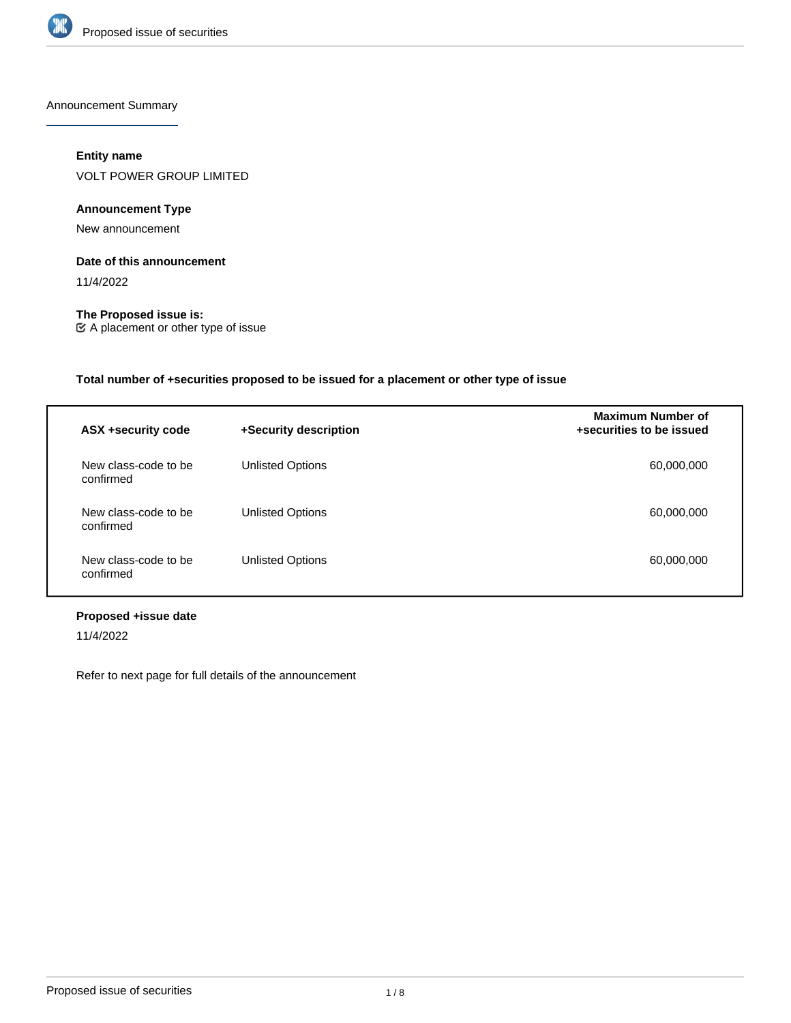

Announcement Summary

## **Entity name**

VOLT POWER GROUP LIMITED

## **Announcement Type**

New announcement

### **Date of this announcement**

11/4/2022

**The Proposed issue is:** A placement or other type of issue

## **Total number of +securities proposed to be issued for a placement or other type of issue**

| ASX +security code                | +Security description   | <b>Maximum Number of</b><br>+securities to be issued |
|-----------------------------------|-------------------------|------------------------------------------------------|
| New class-code to be<br>confirmed | <b>Unlisted Options</b> | 60,000,000                                           |
| New class-code to be<br>confirmed | Unlisted Options        | 60,000,000                                           |
| New class-code to be<br>confirmed | <b>Unlisted Options</b> | 60,000,000                                           |

## **Proposed +issue date**

11/4/2022

Refer to next page for full details of the announcement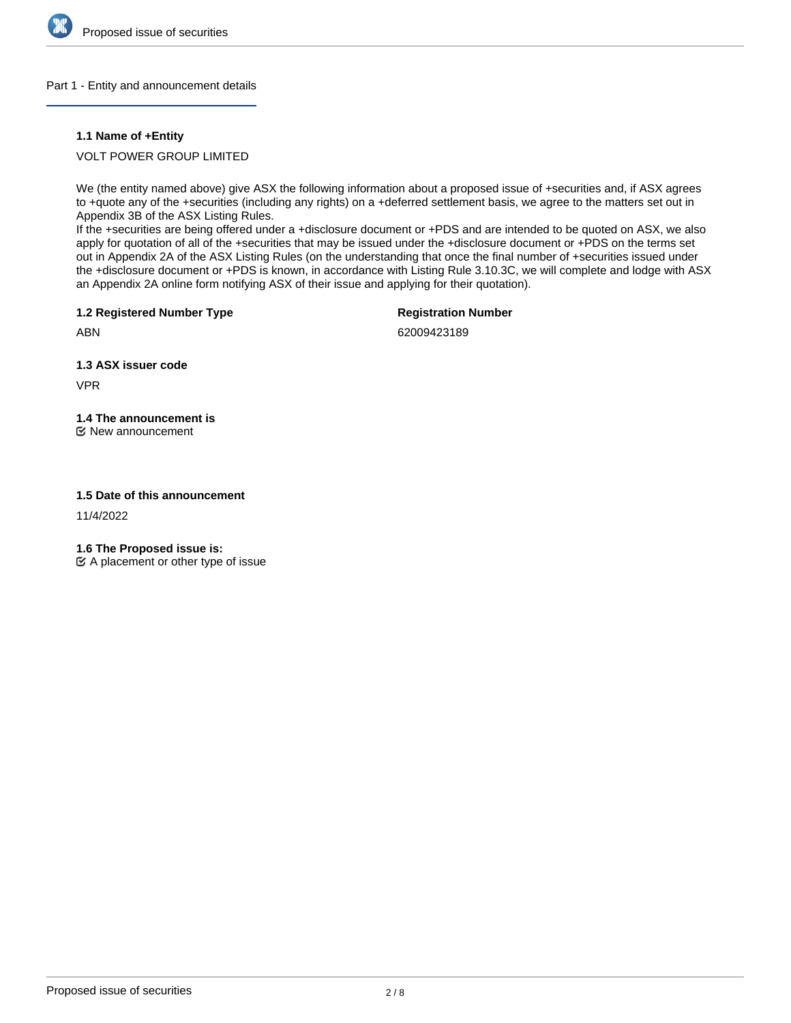

### Part 1 - Entity and announcement details

### **1.1 Name of +Entity**

VOLT POWER GROUP LIMITED

We (the entity named above) give ASX the following information about a proposed issue of +securities and, if ASX agrees to +quote any of the +securities (including any rights) on a +deferred settlement basis, we agree to the matters set out in Appendix 3B of the ASX Listing Rules.

If the +securities are being offered under a +disclosure document or +PDS and are intended to be quoted on ASX, we also apply for quotation of all of the +securities that may be issued under the +disclosure document or +PDS on the terms set out in Appendix 2A of the ASX Listing Rules (on the understanding that once the final number of +securities issued under the +disclosure document or +PDS is known, in accordance with Listing Rule 3.10.3C, we will complete and lodge with ASX an Appendix 2A online form notifying ASX of their issue and applying for their quotation).

**1.2 Registered Number Type**

**Registration Number**

ABN

62009423189

**1.3 ASX issuer code**

VPR

**1.4 The announcement is**

New announcement

### **1.5 Date of this announcement**

11/4/2022

**1.6 The Proposed issue is:**

 $\mathfrak{C}$  A placement or other type of issue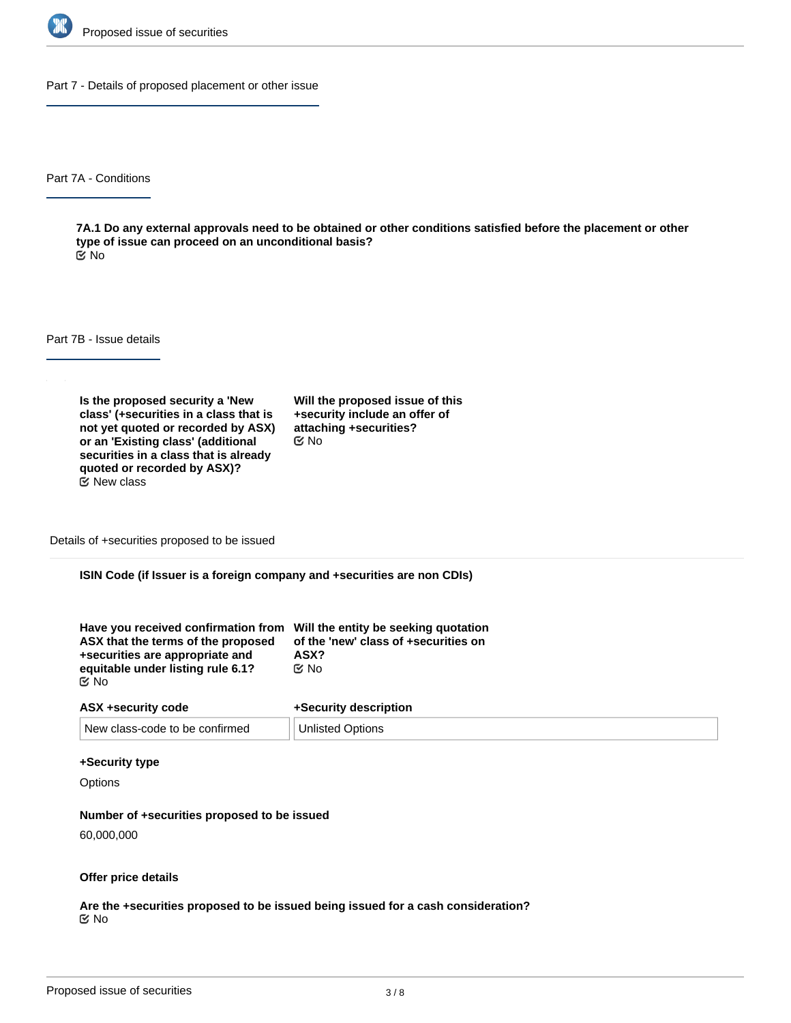

Part 7 - Details of proposed placement or other issue

Part 7A - Conditions

**7A.1 Do any external approvals need to be obtained or other conditions satisfied before the placement or other type of issue can proceed on an unconditional basis?** No

Part 7B - Issue details

**Is the proposed security a 'New class' (+securities in a class that is not yet quoted or recorded by ASX) or an 'Existing class' (additional securities in a class that is already quoted or recorded by ASX)?**  $E$  New class

**Will the proposed issue of this +security include an offer of attaching +securities?** No

Details of +securities proposed to be issued

**ISIN Code (if Issuer is a foreign company and +securities are non CDIs)**

| Have you received confirmation from Will the entity be seeking quotation<br>ASX that the terms of the proposed | of the 'new' class of +securities on |
|----------------------------------------------------------------------------------------------------------------|--------------------------------------|
| +securities are appropriate and                                                                                | ASX?                                 |
| equitable under listing rule 6.1?                                                                              | ় No                                 |
| ় No                                                                                                           |                                      |

| ASX +security code             | +Security description   |
|--------------------------------|-------------------------|
| New class-code to be confirmed | <b>Unlisted Options</b> |

#### **+Security type**

**Options** 

#### **Number of +securities proposed to be issued**

60,000,000

#### **Offer price details**

**Are the +securities proposed to be issued being issued for a cash consideration?** No

**Please describe the consideration being provided for the +securities**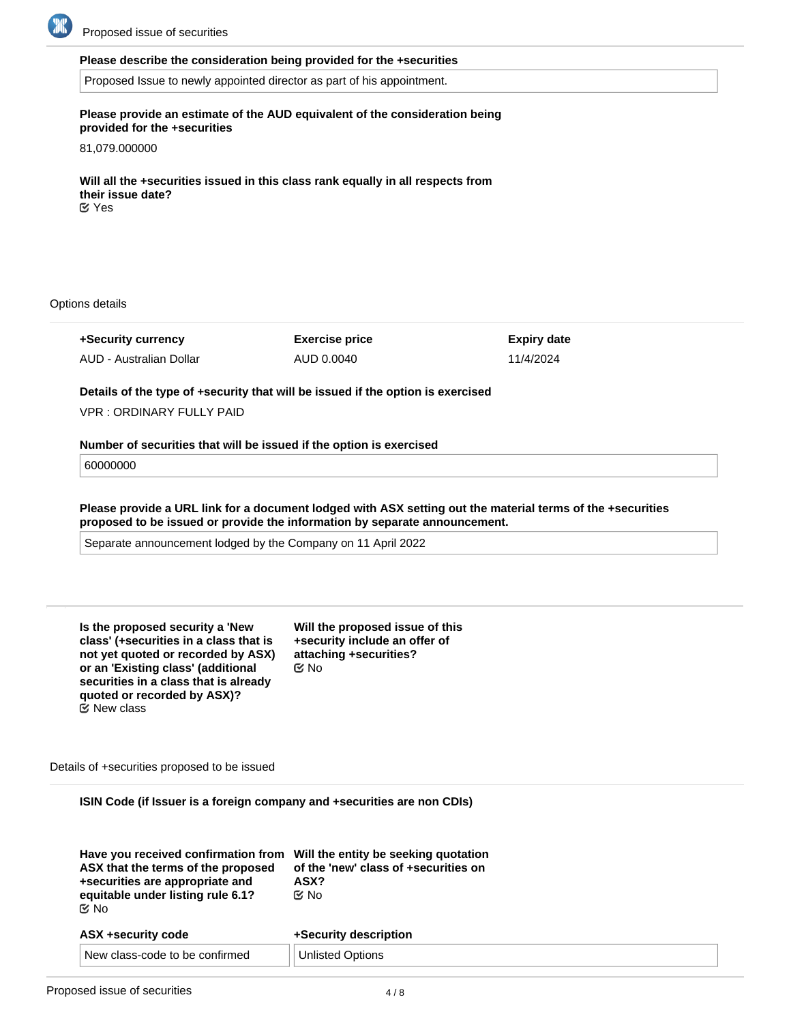

#### **Please describe the consideration being provided for the +securities**

Proposed Issue to newly appointed director as part of his appointment.

### **Please provide an estimate of the AUD equivalent of the consideration being provided for the +securities**

81,079.000000

**Will all the +securities issued in this class rank equally in all respects from their issue date?** Yes

Options details

**+Security currency** AUD - Australian Dollar **Exercise price** AUD 0.0040 **Expiry date** 11/4/2024

**Details of the type of +security that will be issued if the option is exercised**

VPR : ORDINARY FULLY PAID

#### **Number of securities that will be issued if the option is exercised**

60000000

**Please provide a URL link for a document lodged with ASX setting out the material terms of the +securities proposed to be issued or provide the information by separate announcement.**

Separate announcement lodged by the Company on 11 April 2022

| Is the proposed security a 'New        |
|----------------------------------------|
| class' (+securities in a class that is |
| not yet quoted or recorded by ASX)     |
| or an 'Existing class' (additional     |
| securities in a class that is already  |
| quoted or recorded by ASX)?            |
| $\mathfrak C$ New class                |

**Will the proposed issue of this +security include an offer of attaching +securities?** No

Details of +securities proposed to be issued

**ISIN Code (if Issuer is a foreign company and +securities are non CDIs)**

| Have you received confirmation from<br>ASX that the terms of the proposed<br>+securities are appropriate and<br>equitable under listing rule 6.1?<br>় No | Will the entity be seeking quotation<br>of the 'new' class of +securities on<br>ASX?<br>় No |
|-----------------------------------------------------------------------------------------------------------------------------------------------------------|----------------------------------------------------------------------------------------------|
| ASX +security code                                                                                                                                        | +Security description                                                                        |
| New class-code to be confirmed                                                                                                                            | <b>Unlisted Options</b>                                                                      |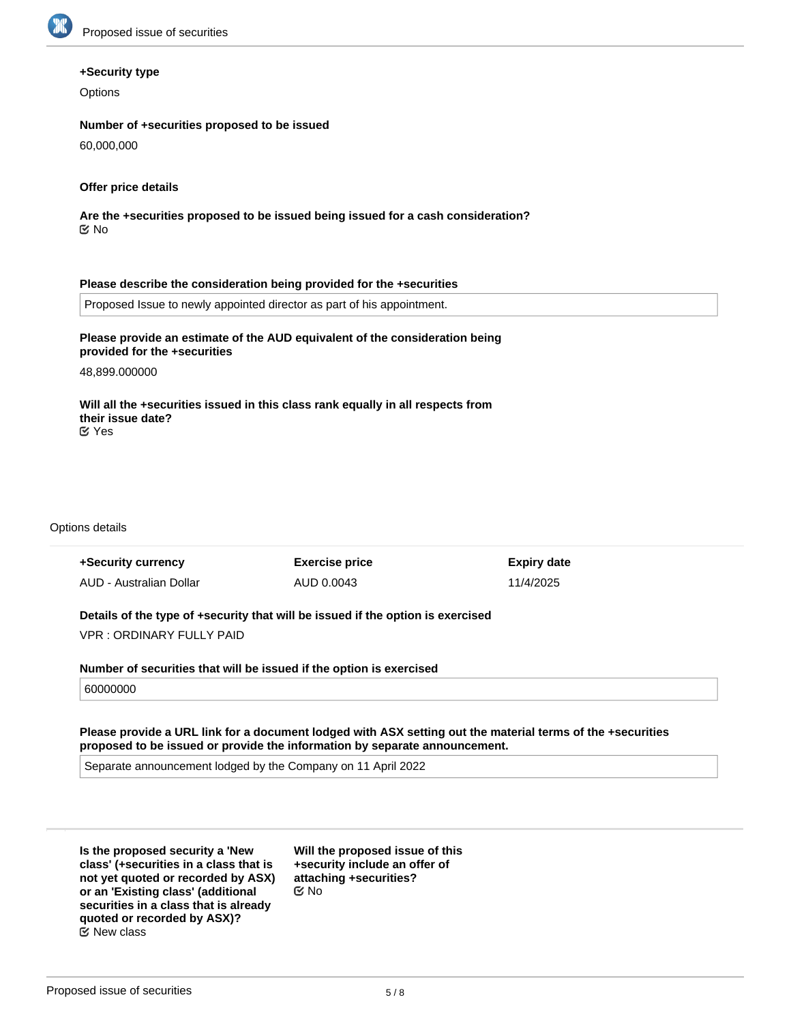

#### **+Security type**

**Options** 

### **Number of +securities proposed to be issued**

60,000,000

#### **Offer price details**

**Are the +securities proposed to be issued being issued for a cash consideration?** No

#### **Please describe the consideration being provided for the +securities**

Proposed Issue to newly appointed director as part of his appointment.

## **Please provide an estimate of the AUD equivalent of the consideration being provided for the +securities**

48,899.000000

**Will all the +securities issued in this class rank equally in all respects from their issue date?** Yes

#### Options details

| +Security currency      | <b>Exercise price</b> | <b>Expiry date</b> |
|-------------------------|-----------------------|--------------------|
| AUD - Australian Dollar | AUD 0.0043            | 11/4/2025          |
|                         |                       |                    |

**Details of the type of +security that will be issued if the option is exercised** VPR : ORDINARY FULLY PAID

**Number of securities that will be issued if the option is exercised**

### 60000000

**Please provide a URL link for a document lodged with ASX setting out the material terms of the +securities proposed to be issued or provide the information by separate announcement.**

Separate announcement lodged by the Company on 11 April 2022

**Is the proposed security a 'New class' (+securities in a class that is not yet quoted or recorded by ASX) or an 'Existing class' (additional securities in a class that is already quoted or recorded by ASX)?**  $E$  New class

**Will the proposed issue of this +security include an offer of attaching +securities?** No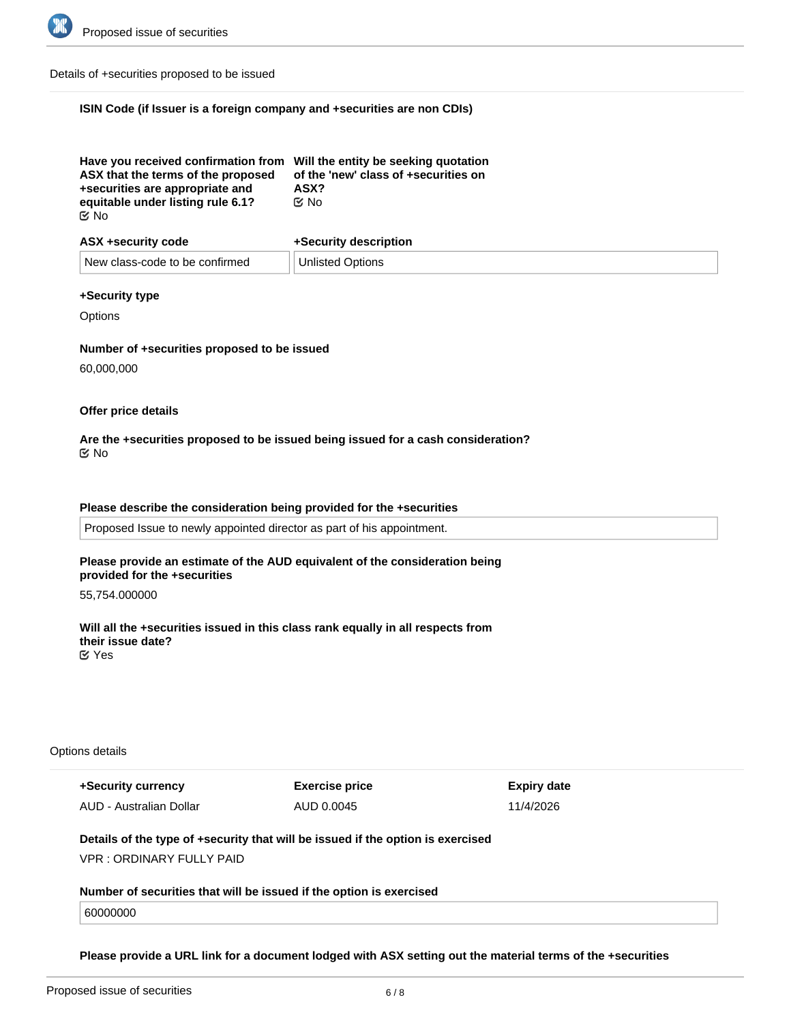

Details of +securities proposed to be issued

# **ISIN Code (if Issuer is a foreign company and +securities are non CDIs)**

| Have you received confirmation from Will the entity be seeking quotation<br>ASX that the terms of the proposed<br>+securities are appropriate and | of the 'new' class of +securities on<br>ASX? |
|---------------------------------------------------------------------------------------------------------------------------------------------------|----------------------------------------------|
| equitable under listing rule 6.1?                                                                                                                 | ়⊠ No                                        |
| ା ⊠                                                                                                                                               |                                              |

| ASX +security code             | +Security description |  |
|--------------------------------|-----------------------|--|
| New class-code to be confirmed | Unlisted Options      |  |

# **+Security type**

**Options** 

# **Number of +securities proposed to be issued**

60,000,000

# **Offer price details**

**Are the +securities proposed to be issued being issued for a cash consideration?** No

# **Please describe the consideration being provided for the +securities**

Proposed Issue to newly appointed director as part of his appointment.

## **Please provide an estimate of the AUD equivalent of the consideration being provided for the +securities**

55,754.000000

**Will all the +securities issued in this class rank equally in all respects from their issue date?** Yes

## Options details

**+Security currency** AUD - Australian Dollar **Exercise price** AUD 0.0045

**Expiry date** 11/4/2026

# **Details of the type of +security that will be issued if the option is exercised** VPR : ORDINARY FULLY PAID

**proposed to be issued or provide the information by separate announcement.**

**Number of securities that will be issued if the option is exercised**

60000000

**Please provide a URL link for a document lodged with ASX setting out the material terms of the +securities**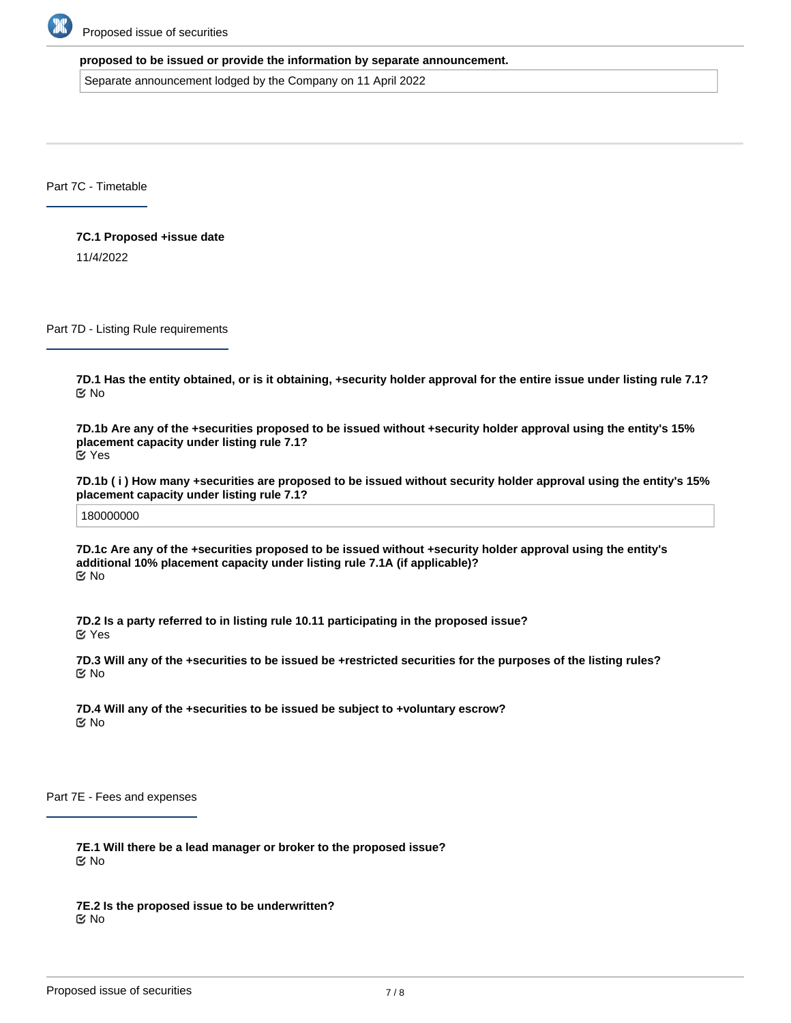

#### **proposed to be issued or provide the information by separate announcement.**

Separate announcement lodged by the Company on 11 April 2022

Part 7C - Timetable

**7C.1 Proposed +issue date**

11/4/2022

Part 7D - Listing Rule requirements

**7D.1 Has the entity obtained, or is it obtaining, +security holder approval for the entire issue under listing rule 7.1?** No

**7D.1b Are any of the +securities proposed to be issued without +security holder approval using the entity's 15% placement capacity under listing rule 7.1?** Yes

**7D.1b ( i ) How many +securities are proposed to be issued without security holder approval using the entity's 15% placement capacity under listing rule 7.1?**

180000000

**7D.1c Are any of the +securities proposed to be issued without +security holder approval using the entity's additional 10% placement capacity under listing rule 7.1A (if applicable)?** No

**7D.2 Is a party referred to in listing rule 10.11 participating in the proposed issue?** Yes

**7D.3 Will any of the +securities to be issued be +restricted securities for the purposes of the listing rules?** No

**7D.4 Will any of the +securities to be issued be subject to +voluntary escrow?** No

Part 7E - Fees and expenses

**7E.1 Will there be a lead manager or broker to the proposed issue?** No

**7E.2 Is the proposed issue to be underwritten?** No